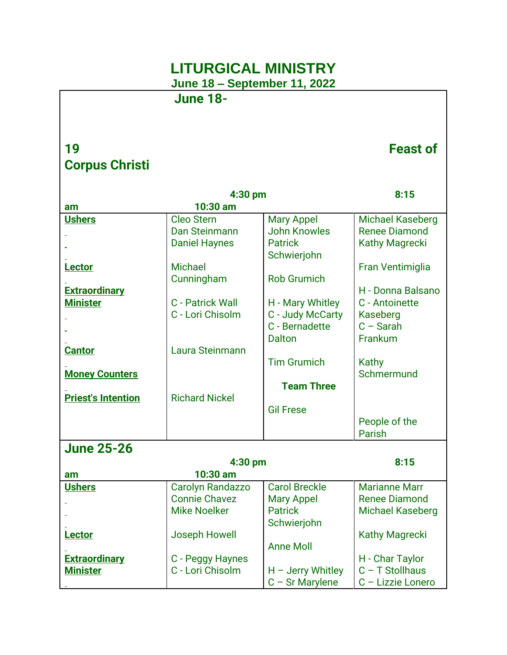## **LITURGICAL MINISTRY**

**June 18 – September 11, 2022**

**June 18-**

## **19 Feast of Corpus Christi**

|                           | 4:30 pm                 |                      | 8:15                    |
|---------------------------|-------------------------|----------------------|-------------------------|
| am                        | 10:30 am                |                      |                         |
| <b>Ushers</b>             | <b>Cleo Stern</b>       | <b>Mary Appel</b>    | <b>Michael Kaseberg</b> |
|                           | Dan Steinmann           | <b>John Knowles</b>  | <b>Renee Diamond</b>    |
|                           | <b>Daniel Haynes</b>    | <b>Patrick</b>       | <b>Kathy Magrecki</b>   |
|                           |                         | Schwierjohn          |                         |
| <b>Lector</b>             | <b>Michael</b>          |                      | Fran Ventimiglia        |
|                           | Cunningham              | <b>Rob Grumich</b>   |                         |
| <b>Extraordinary</b>      |                         |                      | H - Donna Balsano       |
| <b>Minister</b>           | <b>C</b> - Patrick Wall | H - Mary Whitley     | C - Antoinette          |
|                           | C - Lori Chisolm        | C - Judy McCarty     | Kaseberg                |
|                           |                         | C - Bernadette       | $C - Sarah$             |
|                           |                         | <b>Dalton</b>        | Frankum                 |
| <b>Cantor</b>             | Laura Steinmann         |                      |                         |
|                           |                         | <b>Tim Grumich</b>   | Kathy<br>Schmermund     |
| <b>Money Counters</b>     |                         | <b>Team Three</b>    |                         |
| <b>Priest's Intention</b> | <b>Richard Nickel</b>   |                      |                         |
|                           |                         | <b>Gil Frese</b>     |                         |
|                           |                         |                      | People of the           |
|                           |                         |                      | Parish                  |
| <b>June 25-26</b>         |                         |                      |                         |
|                           |                         |                      | 8:15                    |
| am                        | 4:30 pm<br>10:30 am     |                      |                         |
| <b>Ushers</b>             | <b>Carolyn Randazzo</b> | <b>Carol Breckle</b> | <b>Marianne Marr</b>    |
|                           | <b>Connie Chavez</b>    | <b>Mary Appel</b>    | <b>Renee Diamond</b>    |
|                           | <b>Mike Noelker</b>     | <b>Patrick</b>       | <b>Michael Kaseberg</b> |
|                           |                         | Schwierjohn          |                         |
| <b>Lector</b>             | <b>Joseph Howell</b>    |                      | <b>Kathy Magrecki</b>   |
|                           |                         | <b>Anne Moll</b>     |                         |
| <b>Extraordinary</b>      | C - Peggy Haynes        |                      | H - Char Taylor         |
| <b>Minister</b>           | C - Lori Chisolm        | $H -$ Jerry Whitley  | $C - T$ Stollhaus       |
|                           |                         | $C - Sr$ Marylene    | C - Lizzie Lonero       |
|                           |                         |                      |                         |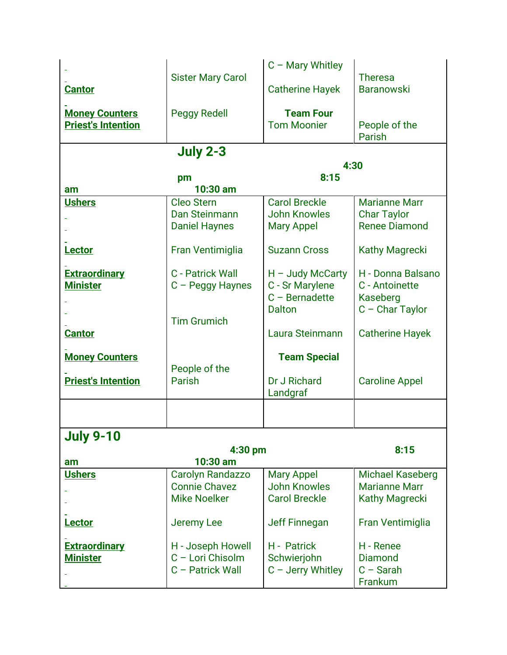|                           |                          | $C -$ Mary Whitley      |                                            |
|---------------------------|--------------------------|-------------------------|--------------------------------------------|
|                           | <b>Sister Mary Carol</b> |                         | <b>Theresa</b>                             |
| <b>Cantor</b>             |                          | <b>Catherine Hayek</b>  | <b>Baranowski</b>                          |
|                           |                          |                         |                                            |
| <b>Money Counters</b>     | <b>Peggy Redell</b>      | <b>Team Four</b>        |                                            |
| <b>Priest's Intention</b> |                          | <b>Tom Moonier</b>      | People of the                              |
|                           |                          |                         | Parish                                     |
|                           | <b>July 2-3</b>          |                         |                                            |
|                           |                          | 4:30                    |                                            |
|                           | pm                       | 8:15                    |                                            |
| am                        | 10:30 am                 |                         |                                            |
| <b>Ushers</b>             | <b>Cleo Stern</b>        | <b>Carol Breckle</b>    | <b>Marianne Marr</b>                       |
|                           | Dan Steinmann            | <b>John Knowles</b>     |                                            |
|                           |                          |                         | <b>Char Taylor</b><br><b>Renee Diamond</b> |
|                           | <b>Daniel Haynes</b>     | <b>Mary Appel</b>       |                                            |
|                           |                          | <b>Suzann Cross</b>     |                                            |
| Lector                    | Fran Ventimiglia         |                         | <b>Kathy Magrecki</b>                      |
|                           | <b>C</b> - Patrick Wall  |                         | H - Donna Balsano                          |
| <b>Extraordinary</b>      |                          | $H -$ Judy McCarty      |                                            |
| <b>Minister</b>           | C - Peggy Haynes         | C - Sr Marylene         | C - Antoinette                             |
|                           |                          | $C - \text{Bernadette}$ | Kaseberg                                   |
|                           |                          | <b>Dalton</b>           | $C - Char Taylor$                          |
|                           | <b>Tim Grumich</b>       |                         |                                            |
| <b>Cantor</b>             |                          | Laura Steinmann         | <b>Catherine Hayek</b>                     |
| <b>Money Counters</b>     |                          | <b>Team Special</b>     |                                            |
|                           | People of the            |                         |                                            |
|                           | <b>Parish</b>            | Dr J Richard            |                                            |
| <b>Priest's Intention</b> |                          |                         | <b>Caroline Appel</b>                      |
|                           |                          | Landgraf                |                                            |
|                           |                          |                         |                                            |
|                           |                          |                         |                                            |
| <b>July 9-10</b>          |                          |                         |                                            |
|                           | 4:30 pm                  |                         | 8:15                                       |
| am                        | 10:30 am                 |                         |                                            |
| <b>Ushers</b>             | Carolyn Randazzo         | <b>Mary Appel</b>       | <b>Michael Kaseberg</b>                    |
|                           | <b>Connie Chavez</b>     | <b>John Knowles</b>     | <b>Marianne Marr</b>                       |
|                           | <b>Mike Noelker</b>      | <b>Carol Breckle</b>    | <b>Kathy Magrecki</b>                      |
|                           |                          |                         |                                            |
| Lector                    | Jeremy Lee               | <b>Jeff Finnegan</b>    | Fran Ventimiglia                           |
|                           |                          |                         |                                            |
| <b>Extraordinary</b>      | H - Joseph Howell        | H - Patrick             | H - Renee                                  |
| <b>Minister</b>           | C - Lori Chisolm         | Schwierjohn             | <b>Diamond</b>                             |
|                           | C - Patrick Wall         | $C -$ Jerry Whitley     | $C - Sarah$                                |
|                           |                          |                         | Frankum                                    |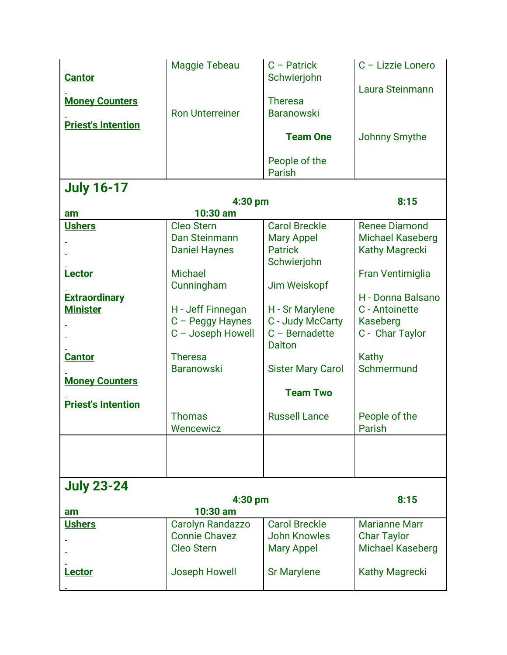| <b>Cantor</b><br><b>Money Counters</b><br><b>Priest's Intention</b>                                                                       | Maggie Tebeau<br><b>Ron Unterreiner</b>                                                                                                                                                                                | $C -$ Patrick<br>Schwierjohn<br><b>Theresa</b><br><b>Baranowski</b><br><b>Team One</b><br>People of the                                                                                                                                              | C - Lizzie Lonero<br>Laura Steinmann<br><b>Johnny Smythe</b>                                                                                                                                                                |
|-------------------------------------------------------------------------------------------------------------------------------------------|------------------------------------------------------------------------------------------------------------------------------------------------------------------------------------------------------------------------|------------------------------------------------------------------------------------------------------------------------------------------------------------------------------------------------------------------------------------------------------|-----------------------------------------------------------------------------------------------------------------------------------------------------------------------------------------------------------------------------|
|                                                                                                                                           |                                                                                                                                                                                                                        | Parish                                                                                                                                                                                                                                               |                                                                                                                                                                                                                             |
| <b>July 16-17</b><br>am                                                                                                                   | 4:30 pm<br>10:30 am                                                                                                                                                                                                    | 8:15                                                                                                                                                                                                                                                 |                                                                                                                                                                                                                             |
| <b>Ushers</b><br>Lector<br><b>Extraordinary</b><br><b>Minister</b><br><b>Cantor</b><br><b>Money Counters</b><br><b>Priest's Intention</b> | <b>Cleo Stern</b><br>Dan Steinmann<br><b>Daniel Haynes</b><br><b>Michael</b><br>Cunningham<br>H - Jeff Finnegan<br>C - Peggy Haynes<br>C - Joseph Howell<br><b>Theresa</b><br><b>Baranowski</b><br>Thomas<br>Wencewicz | <b>Carol Breckle</b><br><b>Mary Appel</b><br><b>Patrick</b><br>Schwierjohn<br>Jim Weiskopf<br>H - Sr Marylene<br>C - Judy McCarty<br>$C - \text{Bernadette}$<br><b>Dalton</b><br><b>Sister Mary Carol</b><br><b>Team Two</b><br><b>Russell Lance</b> | <b>Renee Diamond</b><br><b>Michael Kaseberg</b><br><b>Kathy Magrecki</b><br>Fran Ventimiglia<br>H - Donna Balsano<br>C - Antoinette<br>Kaseberg<br>C - Char Taylor<br>Kathy<br>Schmermund<br>People of the<br><b>Parish</b> |
|                                                                                                                                           |                                                                                                                                                                                                                        |                                                                                                                                                                                                                                                      |                                                                                                                                                                                                                             |
| <b>July 23-24</b><br>4:30 pm                                                                                                              |                                                                                                                                                                                                                        |                                                                                                                                                                                                                                                      | 8:15                                                                                                                                                                                                                        |
| am                                                                                                                                        | 10:30 am                                                                                                                                                                                                               |                                                                                                                                                                                                                                                      |                                                                                                                                                                                                                             |
| <b>Ushers</b>                                                                                                                             | <b>Carolyn Randazzo</b><br><b>Connie Chavez</b><br><b>Cleo Stern</b>                                                                                                                                                   | <b>Carol Breckle</b><br><b>John Knowles</b><br><b>Mary Appel</b>                                                                                                                                                                                     | <b>Marianne Marr</b><br><b>Char Taylor</b><br><b>Michael Kaseberg</b>                                                                                                                                                       |
| <b>Lector</b>                                                                                                                             | Joseph Howell                                                                                                                                                                                                          | <b>Sr Marylene</b>                                                                                                                                                                                                                                   | <b>Kathy Magrecki</b>                                                                                                                                                                                                       |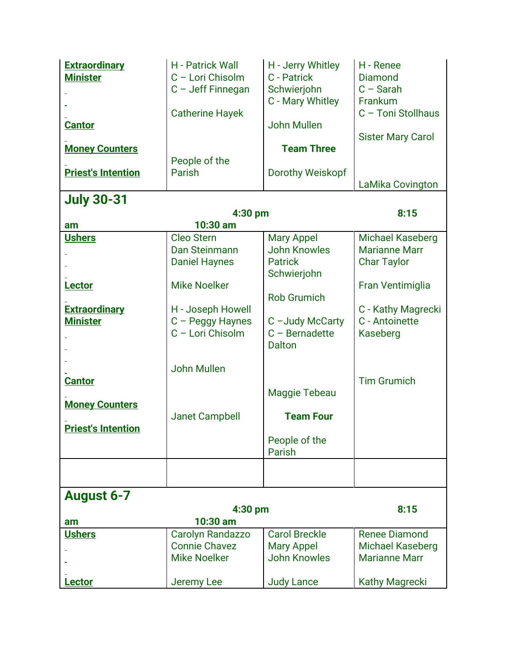| <b>Extraordinary</b><br><b>Minister</b><br><b>Cantor</b><br><b>Money Counters</b> | <b>H</b> - Patrick Wall<br>C - Lori Chisolm<br>C - Jeff Finnegan<br><b>Catherine Hayek</b> | H - Jerry Whitley<br>C - Patrick<br>Schwierjohn<br>C - Mary Whitley<br><b>John Mullen</b><br><b>Team Three</b> | H - Renee<br><b>Diamond</b><br>$C - Sarah$<br>Frankum<br>C - Toni Stollhaus<br><b>Sister Mary Carol</b> |
|-----------------------------------------------------------------------------------|--------------------------------------------------------------------------------------------|----------------------------------------------------------------------------------------------------------------|---------------------------------------------------------------------------------------------------------|
| <b>Priest's Intention</b>                                                         | People of the<br>Parish                                                                    | <b>Dorothy Weiskopf</b>                                                                                        |                                                                                                         |
|                                                                                   |                                                                                            |                                                                                                                | <b>LaMika Covington</b>                                                                                 |
| <b>July 30-31</b>                                                                 |                                                                                            |                                                                                                                | 8:15                                                                                                    |
| am                                                                                | 4:30 pm<br>10:30 am                                                                        |                                                                                                                |                                                                                                         |
| <b>Ushers</b>                                                                     | <b>Cleo Stern</b>                                                                          | <b>Mary Appel</b>                                                                                              | <b>Michael Kaseberg</b>                                                                                 |
|                                                                                   | Dan Steinmann                                                                              | <b>John Knowles</b>                                                                                            | <b>Marianne Marr</b>                                                                                    |
|                                                                                   | <b>Daniel Haynes</b>                                                                       | <b>Patrick</b>                                                                                                 | <b>Char Taylor</b>                                                                                      |
|                                                                                   |                                                                                            | Schwierjohn                                                                                                    |                                                                                                         |
| Lector                                                                            | <b>Mike Noelker</b>                                                                        | <b>Rob Grumich</b>                                                                                             | Fran Ventimiglia                                                                                        |
| <b>Extraordinary</b>                                                              | H - Joseph Howell                                                                          |                                                                                                                | C - Kathy Magrecki                                                                                      |
| <b>Minister</b>                                                                   | C - Peggy Haynes                                                                           | C-Judy McCarty                                                                                                 | C - Antoinette                                                                                          |
|                                                                                   | C - Lori Chisolm                                                                           | $C - \text{Bernadette}$<br><b>Dalton</b>                                                                       | <b>Kaseberg</b>                                                                                         |
|                                                                                   | <b>John Mullen</b>                                                                         |                                                                                                                |                                                                                                         |
| <b>Cantor</b>                                                                     |                                                                                            |                                                                                                                | <b>Tim Grumich</b>                                                                                      |
|                                                                                   |                                                                                            | Maggie Tebeau                                                                                                  |                                                                                                         |
| <b>Money Counters</b>                                                             |                                                                                            |                                                                                                                |                                                                                                         |
|                                                                                   | <b>Janet Campbell</b>                                                                      | <b>Team Four</b>                                                                                               |                                                                                                         |
| <b>Priest's Intention</b>                                                         |                                                                                            | People of the<br>Parish                                                                                        |                                                                                                         |
|                                                                                   |                                                                                            |                                                                                                                |                                                                                                         |
| <b>August 6-7</b>                                                                 |                                                                                            |                                                                                                                |                                                                                                         |
|                                                                                   | 4:30 pm                                                                                    |                                                                                                                | 8:15                                                                                                    |
| am                                                                                | 10:30 am                                                                                   |                                                                                                                |                                                                                                         |
| <b>Ushers</b>                                                                     | Carolyn Randazzo<br><b>Connie Chavez</b>                                                   | <b>Carol Breckle</b><br><b>Mary Appel</b>                                                                      | <b>Renee Diamond</b><br><b>Michael Kaseberg</b>                                                         |
|                                                                                   | <b>Mike Noelker</b>                                                                        | <b>John Knowles</b>                                                                                            | <b>Marianne Marr</b>                                                                                    |
|                                                                                   |                                                                                            |                                                                                                                |                                                                                                         |
| Lector                                                                            | <b>Jeremy Lee</b>                                                                          | <b>Judy Lance</b>                                                                                              | <b>Kathy Magrecki</b>                                                                                   |